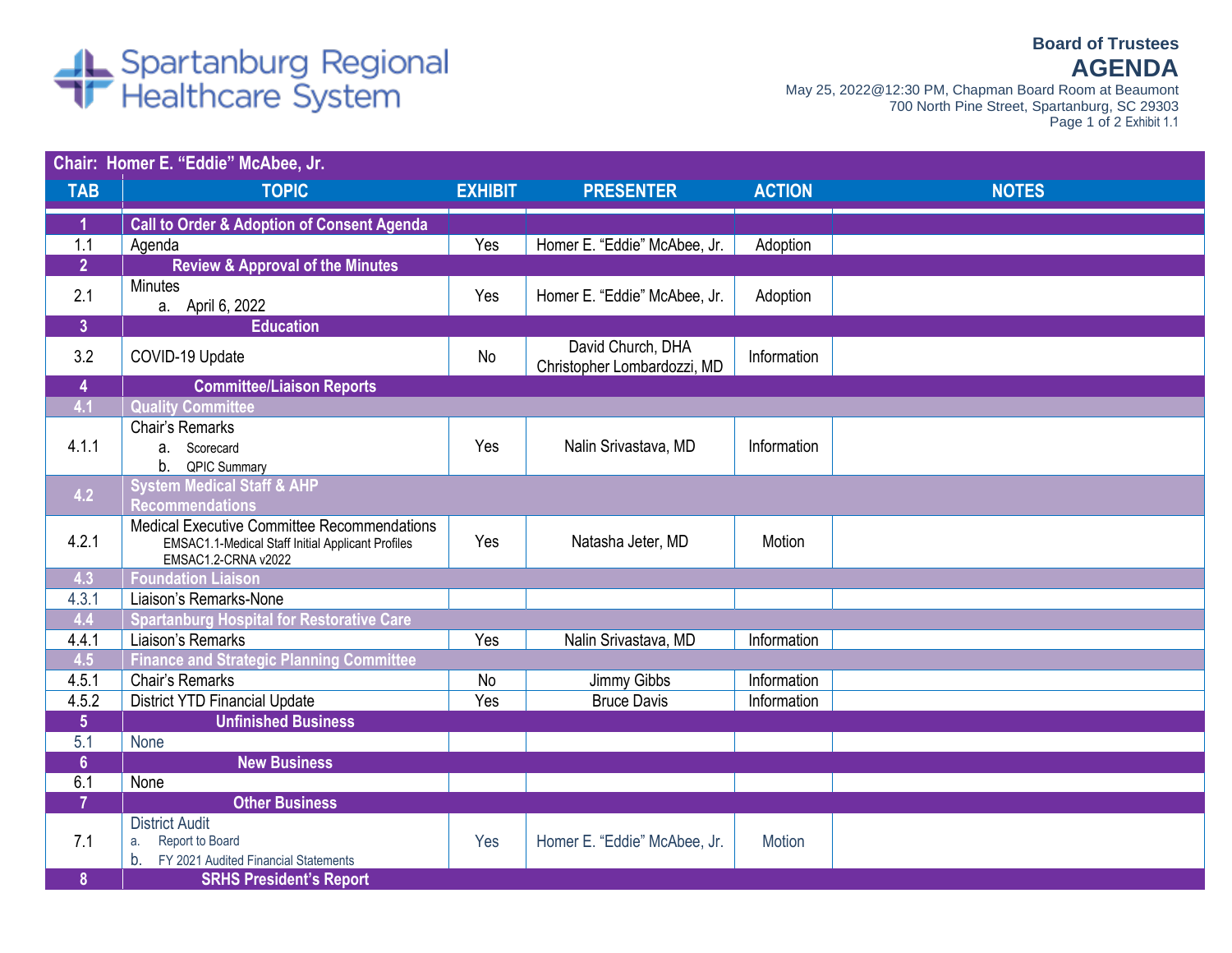## Spartanburg Regional<br>Trealthcare System

May 25, 2022@12:30 PM, Chapman Board Room at Beaumont 700 North Pine Street, Spartanburg, SC 29303 Page 1 of 2 Exhibit 1.1

## **Chair: Homer E. "Eddie" McAbee, Jr. TAB TOPIC EXHIBIT PRESENTER ACTION NOTES 1 Call to Order & Adoption of Consent Agenda** 1.1 Agenda Yes | Homer E. "Eddie" McAbee, Jr. | Adoption **2 Review & Approval of the Minutes** 2.1  $\begin{array}{|l|}\n\hline\n\end{array}$  Minutes<br>
a. April 6, 2022 Yes | Homer E. "Eddie" McAbee, Jr. | Adoption **3 Education** 3.2 COVID-19 Update No No David Church, DHA Christopher Lombardozzi, MD | Information **4 Committee/Liaison Reports 4.1 Quality Committee** 4.1.1 Chair's Remarks a. Scorecard b. QPIC Summary Yes | Nalin Srivastava, MD | Information **4.2 System Medical Staff & AHP Recommendations** 4.2.1 Medical Executive Committee Recommendations EMSAC1.1-Medical Staff Initial Applicant Profiles EMSAC1.2-CRNA v2022 Yes | Natasha Jeter, MD | Motion **4.3 Foundation Liaison** 4.3.1 | Liaison's Remarks-None<br>4.4 Spartanburg Hospital fo **4.4 Spartanburg Hospital for Restorative Care** 4.4.1 Liaison's Remarks Yes Nalin Srivastava, MD Information **4.5 Finance and Strategic Planning Committee** 4.5.1 Chair's Remarks **No Albert Chair's Remarks** No Jimmy Gibbs Information 4.5.2 District YTD Financial Update Ves Pruce Davis Pruce Davis Information **5 Unfinished Business** 5.1 None **6 New Business** 6.1 None **7 Other Business** 7.1 District Audit a. Report to Board b. FY 2021 Audited Financial Statements Yes | Homer E. "Eddie" McAbee, Jr. | Motion **8 SRHS President's Report**

**Board of Trustees AGENDA**